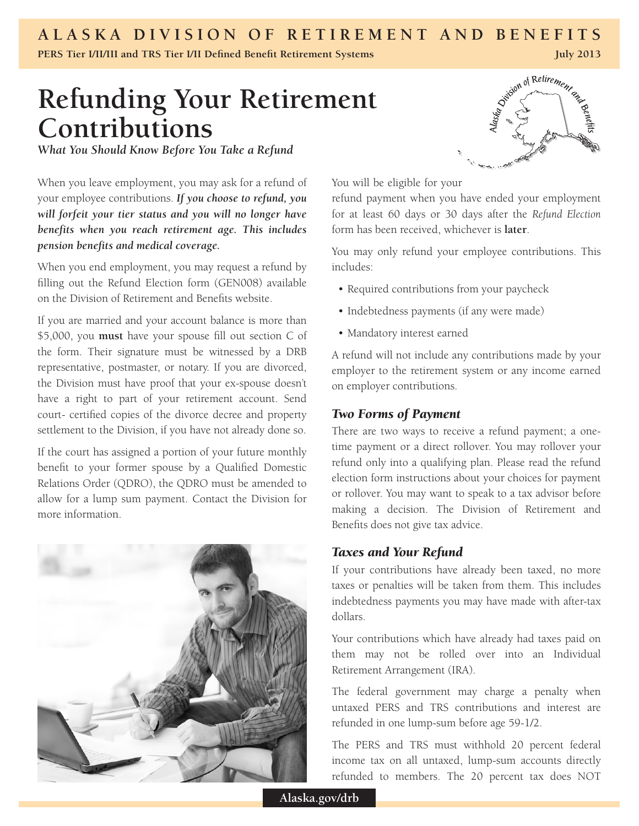# **ALASKA DIVISION OF RETIREMENT AND BENEFITS**

**PERS Tier I/II/III and TRS Tier I/II Defined Benefit Retirement Systems**

# **Refunding Your Retirement Contributions**

*What You Should Know Before You Take a Refund*

When you leave employment, you may ask for a refund of your employee contributions. *If you choose to refund, you will forfeit your tier status and you will no longer have benefits when you reach retirement age. This includes pension benefits and medical coverage.* 

When you end employment, you may request a refund by filling out the Refund Election form (GEN008) available on the Division of Retirement and Benefits website.

If you are married and your account balance is more than \$5,000, you **must** have your spouse fill out section C of the form. Their signature must be witnessed by a DRB representative, postmaster, or notary. If you are divorced, the Division must have proof that your ex-spouse doesn't have a right to part of your retirement account. Send court- certified copies of the divorce decree and property settlement to the Division, if you have not already done so.

If the court has assigned a portion of your future monthly benefit to your former spouse by a Qualified Domestic Relations Order (QDRO), the QDRO must be amended to allow for a lump sum payment. Contact the Division for more information.



Division of Retirement and

**July 2013**

You will be eligible for your

refund payment when you have ended your employment for at least 60 days or 30 days after the *Refund Election* form has been received, whichever is **later**.

You may only refund your employee contributions. This includes:

- Required contributions from your paycheck
- Indebtedness payments (if any were made)
- • Mandatory interest earned

A refund will not include any contributions made by your employer to the retirement system or any income earned on employer contributions.

### *Two Forms of Payment*

There are two ways to receive a refund payment; a onetime payment or a direct rollover. You may rollover your refund only into a qualifying plan. Please read the refund election form instructions about your choices for payment or rollover. You may want to speak to a tax advisor before making a decision. The Division of Retirement and Benefits does not give tax advice.

#### *Taxes and Your Refund*

If your contributions have already been taxed, no more taxes or penalties will be taken from them. This includes indebtedness payments you may have made with after-tax dollars.

Your contributions which have already had taxes paid on them may not be rolled over into an Individual Retirement Arrangement (IRA).

The federal government may charge a penalty when untaxed PERS and TRS contributions and interest are refunded in one lump-sum before age 59-1/2.

The PERS and TRS must withhold 20 percent federal income tax on all untaxed, lump-sum accounts directly refunded to members. The 20 percent tax does NOT